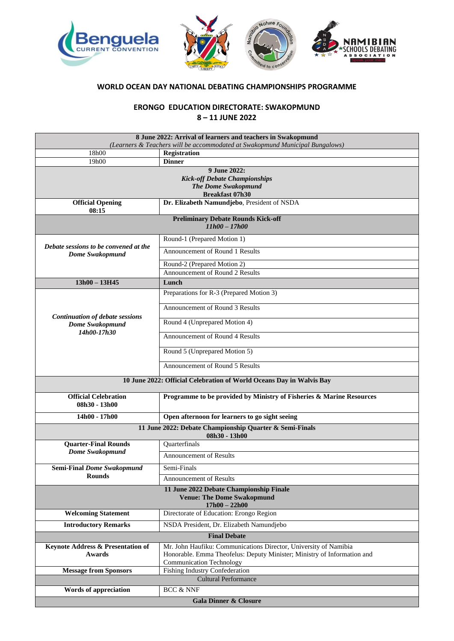

## **WORLD OCEAN DAY NATIONAL DEBATING CHAMPIONSHIPS PROGRAMME**

**ERONGO EDUCATION DIRECTORATE: SWAKOPMUND 8 – 11 JUNE 2022**

| 8 June 2022: Arrival of learners and teachers in Swakopmund<br>(Learners & Teachers will be accommodated at Swakopmund Municipal Bungalows) |                                                                         |
|---------------------------------------------------------------------------------------------------------------------------------------------|-------------------------------------------------------------------------|
|                                                                                                                                             | <b>Registration</b>                                                     |
| 18h00                                                                                                                                       |                                                                         |
| 19h00                                                                                                                                       | <b>Dinner</b>                                                           |
| 9 June 2022:                                                                                                                                |                                                                         |
| <b>Kick-off Debate Championships</b>                                                                                                        |                                                                         |
| <b>The Dome Swakopmund</b>                                                                                                                  |                                                                         |
| <b>Breakfast 07h30</b>                                                                                                                      |                                                                         |
| <b>Official Opening</b><br>08:15                                                                                                            | Dr. Elizabeth Namundjebo, President of NSDA                             |
| <b>Preliminary Debate Rounds Kick-off</b>                                                                                                   |                                                                         |
| $11h00 - 17h00$                                                                                                                             |                                                                         |
|                                                                                                                                             | Round-1 (Prepared Motion 1)                                             |
| Debate sessions to be convened at the<br>Dome Swakopmund                                                                                    | Announcement of Round 1 Results                                         |
|                                                                                                                                             | Round-2 (Prepared Motion 2)                                             |
|                                                                                                                                             | Announcement of Round 2 Results                                         |
| $13h00 - 13H45$                                                                                                                             | Lunch                                                                   |
|                                                                                                                                             |                                                                         |
| <b>Continuation of debate sessions</b><br>Dome Swakopmund<br>14h00-17h30                                                                    | Preparations for R-3 (Prepared Motion 3)                                |
|                                                                                                                                             | Announcement of Round 3 Results                                         |
|                                                                                                                                             | Round 4 (Unprepared Motion 4)                                           |
|                                                                                                                                             | Announcement of Round 4 Results                                         |
|                                                                                                                                             | Round 5 (Unprepared Motion 5)                                           |
|                                                                                                                                             | Announcement of Round 5 Results                                         |
| 10 June 2022: Official Celebration of World Oceans Day in Walvis Bay                                                                        |                                                                         |
|                                                                                                                                             |                                                                         |
| <b>Official Celebration</b><br>08h30 - 13h00                                                                                                | Programme to be provided by Ministry of Fisheries & Marine Resources    |
| $14h00 - 17h00$                                                                                                                             | Open afternoon for learners to go sight seeing                          |
| 11 June 2022: Debate Championship Quarter & Semi-Finals<br>08h30 - 13h00                                                                    |                                                                         |
| <b>Quarter-Final Rounds</b>                                                                                                                 | Quarterfinals                                                           |
| <b>Dome Swakopmund</b>                                                                                                                      | <b>Announcement of Results</b>                                          |
| <b>Semi-Final Dome Swakopmund</b><br><b>Rounds</b>                                                                                          | Semi-Finals                                                             |
|                                                                                                                                             | <b>Announcement of Results</b>                                          |
|                                                                                                                                             | 11 June 2022 Debate Championship Finale                                 |
| <b>Venue: The Dome Swakopmund</b><br>$17h00 - 22h00$                                                                                        |                                                                         |
| <b>Welcoming Statement</b>                                                                                                                  | Directorate of Education: Erongo Region                                 |
| <b>Introductory Remarks</b>                                                                                                                 | NSDA President, Dr. Elizabeth Namundjebo                                |
| <b>Final Debate</b>                                                                                                                         |                                                                         |
| Keynote Address & Presentation of                                                                                                           | Mr. John Haufiku: Communications Director, University of Namibia        |
| Awards                                                                                                                                      | Honorable. Emma Theofelus: Deputy Minister; Ministry of Information and |
|                                                                                                                                             | <b>Communication Technology</b>                                         |
| <b>Message from Sponsors</b>                                                                                                                | <b>Fishing Industry Confederation</b>                                   |
| <b>Cultural Performance</b>                                                                                                                 |                                                                         |
| <b>BCC &amp; NNF</b><br>Words of appreciation                                                                                               |                                                                         |
|                                                                                                                                             |                                                                         |
| <b>Gala Dinner &amp; Closure</b>                                                                                                            |                                                                         |